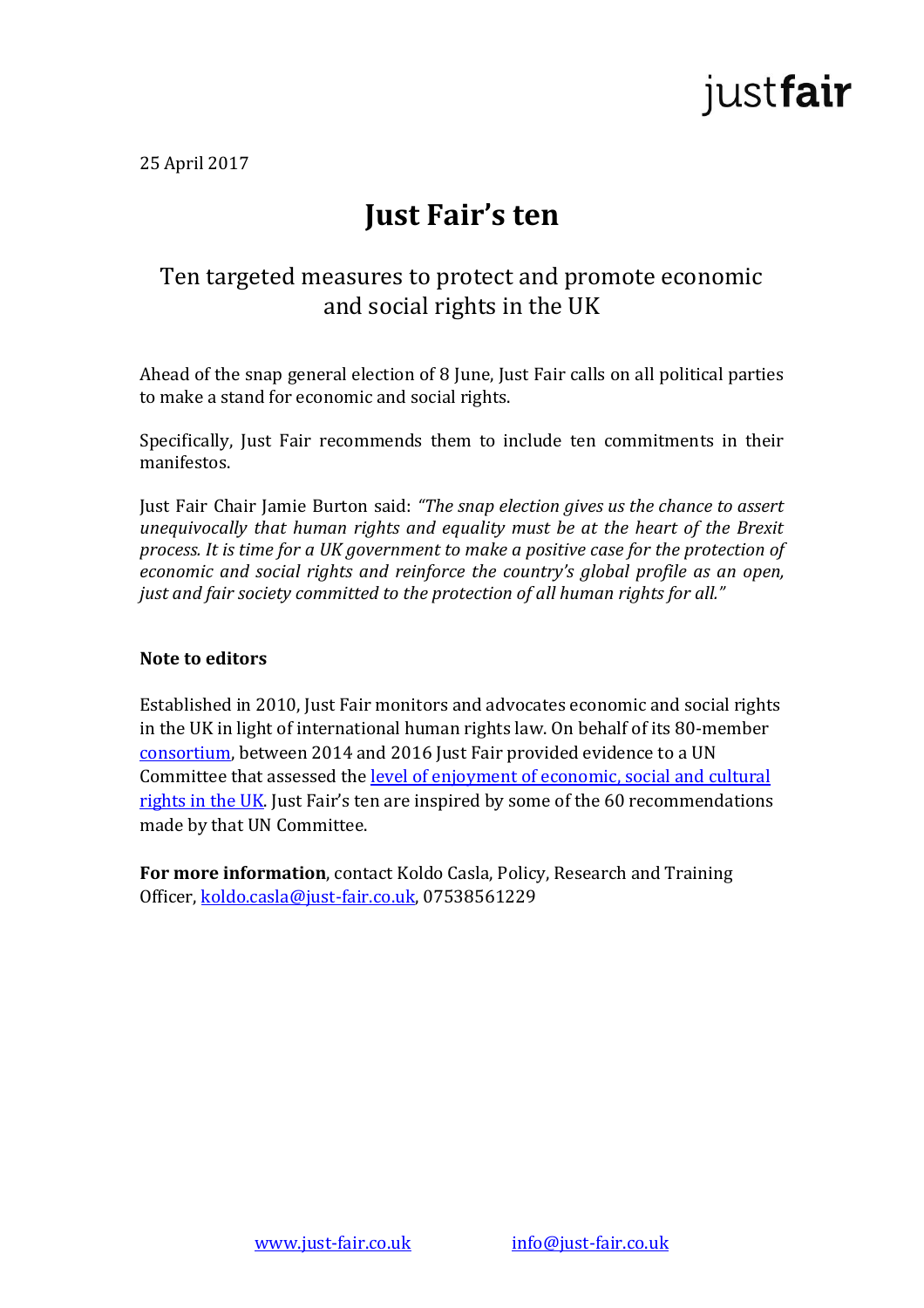

25 April 2017

## **Just Fair's ten**

### Ten targeted measures to protect and promote economic and social rights in the UK

Ahead of the snap general election of 8 June, Just Fair calls on all political parties to make a stand for economic and social rights.

Specifically, Just Fair recommends them to include ten commitments in their manifestos.

Just Fair Chair Jamie Burton said: *"The snap election gives us the chance to assert unequivocally that human rights and equality must be at the heart of the Brexit process. It is time for a UK government to make a positive case for the protection of economic and social rights and reinforce the country's global profile as an open, just and fair society committed to the protection of all human rights for all."* 

#### **Note to editors**

Established in 2010, Just Fair monitors and advocates economic and social rights in the UK in light of international human rights law. On behalf of its 80-member [consortium,](http://www.just-fair.co.uk/about1-ceru) between 2014 and 2016 Just Fair provided evidence to a UN Committee that assessed the [level of enjoyment of economic, social and cultural](http://www.just-fair.co.uk/economic-and-social-rights)  [rights in the UK](http://www.just-fair.co.uk/economic-and-social-rights). Just Fair's ten are inspired by some of the 60 recommendations made by that UN Committee.

**For more information**, contact Koldo Casla, Policy, Research and Training Officer, [koldo.casla@just-fair.co.uk,](mailto:koldo.casla@just-fair.co.uk) 07538561229